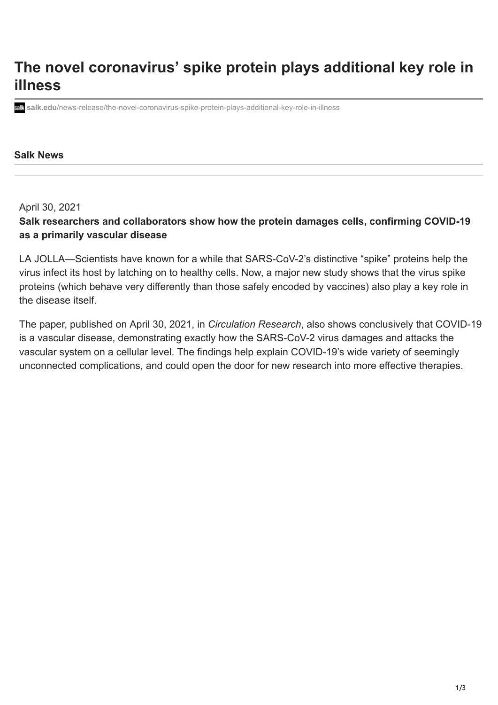## **The novel coronavirus' spike protein plays additional key role in illness**

**salk.edu**[/news-release/the-novel-coronavirus-spike-protein-plays-additional-key-role-in-illness](https://www.salk.edu/news-release/the-novel-coronavirus-spike-protein-plays-additional-key-role-in-illness/)

## **Salk News**

April 30, 2021

**Salk researchers and collaborators show how the protein damages cells, confirming COVID-19 as a primarily vascular disease**

LA JOLLA—Scientists have known for a while that SARS-CoV-2's distinctive "spike" proteins help the virus infect its host by latching on to healthy cells. Now, a major new study shows that the virus spike proteins (which behave very differently than those safely encoded by vaccines) also play a key role in the disease itself.

The paper, published on April 30, 2021, in *[Circulation Research](https://www.ahajournals.org/doi/10.1161/CIRCRESAHA.121.318902)*, also shows conclusively that COVID-19 is a vascular disease, demonstrating exactly how the SARS-CoV-2 virus damages and attacks the vascular system on a cellular level. The findings help explain COVID-19's wide variety of seemingly unconnected complications, and could open the door for new research into more effective therapies.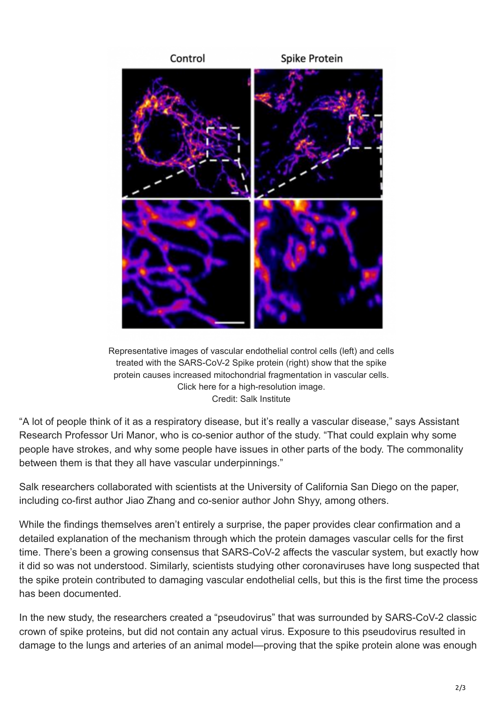

Representative images of vascular endothelial control cells (left) and cells treated with the SARS-CoV-2 Spike protein (right) show that the spike protein causes increased mitochondrial fragmentation in vascular cells. [Click here](https://www.salk.edu/wp-content/uploads/2021/04/manor-figure.png) for a high-resolution image. Credit: Salk Institute

"A lot of people think of it as a respiratory disease, but it's really a vascular disease," says Assistant Research Professor [Uri Manor](https://www.salk.edu/scientist/uri-manor/), who is co-senior author of the study. "That could explain why some people have strokes, and why some people have issues in other parts of the body. The commonality between them is that they all have vascular underpinnings."

Salk researchers collaborated with scientists at the University of California San Diego on the paper, including co-first author Jiao Zhang and co-senior author John Shyy, among others.

While the findings themselves aren't entirely a surprise, the paper provides clear confirmation and a detailed explanation of the mechanism through which the protein damages vascular cells for the first time. There's been a growing consensus that SARS-CoV-2 affects the vascular system, but exactly how it did so was not understood. Similarly, scientists studying other coronaviruses have long suspected that the spike protein contributed to damaging vascular endothelial cells, but this is the first time the process has been documented.

In the new study, the researchers created a "pseudovirus" that was surrounded by SARS-CoV-2 classic crown of spike proteins, but did not contain any actual virus. Exposure to this pseudovirus resulted in damage to the lungs and arteries of an animal model—proving that the spike protein alone was enough